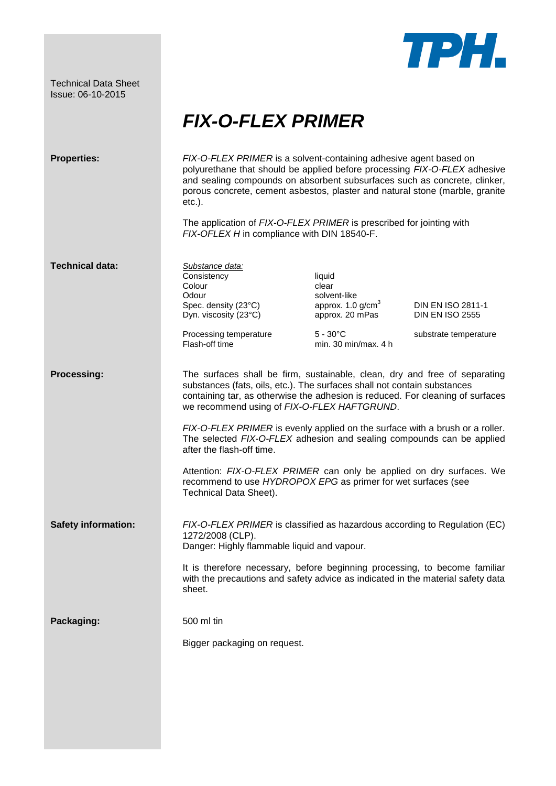Technical Data Sheet Issue: 06-10-2015



## *FIX-O-FLEX PRIMER*

| <b>Properties:</b>         | FIX-O-FLEX PRIMER is a solvent-containing adhesive agent based on<br>polyurethane that should be applied before processing FIX-O-FLEX adhesive<br>and sealing compounds on absorbent subsurfaces such as concrete, clinker,<br>porous concrete, cement asbestos, plaster and natural stone (marble, granite<br>$etc.$ ).<br>The application of FIX-O-FLEX PRIMER is prescribed for jointing with<br>FIX-OFLEX H in compliance with DIN 18540-F.                                                                                                                                                                                                  |                                                                                                                          |                                             |
|----------------------------|--------------------------------------------------------------------------------------------------------------------------------------------------------------------------------------------------------------------------------------------------------------------------------------------------------------------------------------------------------------------------------------------------------------------------------------------------------------------------------------------------------------------------------------------------------------------------------------------------------------------------------------------------|--------------------------------------------------------------------------------------------------------------------------|---------------------------------------------|
| <b>Technical data:</b>     | Substance data:<br>Consistency<br>Colour<br>Odour<br>Spec. density (23°C)<br>Dyn. viscosity (23°C)                                                                                                                                                                                                                                                                                                                                                                                                                                                                                                                                               | liquid<br>clear<br>solvent-like<br>approx. $1.0$ g/cm <sup>3</sup><br>approx. 20 mPas                                    | DIN EN ISO 2811-1<br><b>DIN EN ISO 2555</b> |
|                            | Processing temperature<br>Flash-off time                                                                                                                                                                                                                                                                                                                                                                                                                                                                                                                                                                                                         | $5 - 30^{\circ}$ C<br>min. 30 min/max. $4 h$                                                                             | substrate temperature                       |
| <b>Processing:</b>         | The surfaces shall be firm, sustainable, clean, dry and free of separating<br>substances (fats, oils, etc.). The surfaces shall not contain substances<br>containing tar, as otherwise the adhesion is reduced. For cleaning of surfaces<br>we recommend using of FIX-O-FLEX HAFTGRUND.<br>FIX-O-FLEX PRIMER is evenly applied on the surface with a brush or a roller.<br>The selected FIX-O-FLEX adhesion and sealing compounds can be applied<br>after the flash-off time.<br>Attention: FIX-O-FLEX PRIMER can only be applied on dry surfaces. We<br>recommend to use HYDROPOX EPG as primer for wet surfaces (see<br>Technical Data Sheet). |                                                                                                                          |                                             |
| <b>Safety information:</b> | 1272/2008 (CLP).                                                                                                                                                                                                                                                                                                                                                                                                                                                                                                                                                                                                                                 | FIX-O-FLEX PRIMER is classified as hazardous according to Regulation (EC)<br>Danger: Highly flammable liquid and vapour. |                                             |
|                            | It is therefore necessary, before beginning processing, to become familiar<br>with the precautions and safety advice as indicated in the material safety data<br>sheet.                                                                                                                                                                                                                                                                                                                                                                                                                                                                          |                                                                                                                          |                                             |
| Packaging:                 | 500 ml tin                                                                                                                                                                                                                                                                                                                                                                                                                                                                                                                                                                                                                                       |                                                                                                                          |                                             |
|                            | Bigger packaging on request.                                                                                                                                                                                                                                                                                                                                                                                                                                                                                                                                                                                                                     |                                                                                                                          |                                             |